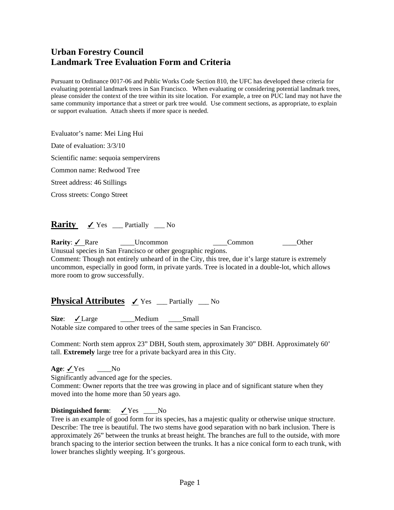# **Urban Forestry Council Landmark Tree Evaluation Form and Criteria**

Pursuant to Ordinance 0017-06 and Public Works Code Section 810, the UFC has developed these criteria for evaluating potential landmark trees in San Francisco. When evaluating or considering potential landmark trees, please consider the context of the tree within its site location. For example, a tree on PUC land may not have the same community importance that a street or park tree would. Use comment sections, as appropriate, to explain or support evaluation. Attach sheets if more space is needed.

Evaluator's name: Mei Ling Hui

Date of evaluation: 3/3/10

Scientific name: sequoia sempervirens

Common name: Redwood Tree

Street address: 46 Stillings

Cross streets: Congo Street

# **Rarity**  $\angle$  Yes \_\_\_ Partially \_\_\_ No

**Rarity**: ✔ Rare **Dimension** Uncommon **Common** Common Other Unusual species in San Francisco or other geographic regions. Comment: Though not entirely unheard of in the City, this tree, due it's large stature is extremely uncommon, especially in good form, in private yards. Tree is located in a double-lot, which allows more room to grow successfully.

## **Physical Attributes** ✓ Yes <u>Centrially No</u>

Size: <del>✓</del>Large \_\_\_\_Medium \_\_\_Small Notable size compared to other trees of the same species in San Francisco.

Comment: North stem approx 23" DBH, South stem, approximately 30" DBH. Approximately 60' tall. **Extremely** large tree for a private backyard area in this City.

**Age**: <u>✓</u>Yes \_\_\_\_No Significantly advanced age for the species. Comment: Owner reports that the tree was growing in place and of significant stature when they moved into the home more than 50 years ago.

### **Distinguished form:**  $\angle$  Yes \_\_\_No

Tree is an example of good form for its species, has a majestic quality or otherwise unique structure. Describe: The tree is beautiful. The two stems have good separation with no bark inclusion. There is approximately 26" between the trunks at breast height. The branches are full to the outside, with more branch spacing to the interior section between the trunks. It has a nice conical form to each trunk, with lower branches slightly weeping. It's gorgeous.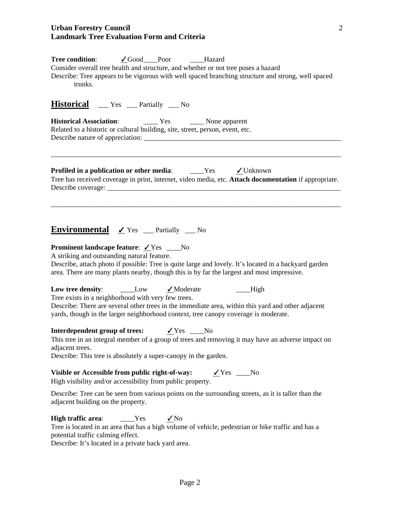### **Urban Forestry Council Landmark Tree Evaluation Form and Criteria**

| Tree condition: V Good__Poor _____Hazard<br>Consider overall tree health and structure, and whether or not tree poses a hazard<br>Describe: Tree appears to be vigorous with well spaced branching structure and strong, well spaced<br>trunks.                                                                                                       |
|-------------------------------------------------------------------------------------------------------------------------------------------------------------------------------------------------------------------------------------------------------------------------------------------------------------------------------------------------------|
| <b>Historical</b> __ Yes __ Partially __ No                                                                                                                                                                                                                                                                                                           |
| <b>Historical Association:</b> Tes Tes Mone apparent<br>Related to a historic or cultural building, site, street, person, event, etc.                                                                                                                                                                                                                 |
| <b>Profiled in a publication or other media:</b> _____Yes v Unknown<br>Tree has received coverage in print, internet, video media, etc. Attach documentation if appropriate.                                                                                                                                                                          |
| Environmental / Yes _ Partially _ No<br><b>Prominent landscape feature:</b> ∕Yes ___No<br>A striking and outstanding natural feature.<br>Describe, attach photo if possible: Tree is quite large and lovely. It's located in a backyard garden<br>area. There are many plants nearby, though this is by far the largest and most impressive.          |
| Low tree density: $\qquad \qquad \boxed{\quad}$ Low $\qquad \qquad \boxed{\quad}$ Moderate<br>High<br>Tree exists in a neighborhood with very few trees.<br>Describe: There are several other trees in the immediate area, within this yard and other adjacent<br>yards, though in the larger neighborhood context, tree canopy coverage is moderate. |
| <b>Interdependent group of trees:</b> $\angle$ Yes ___No<br>This tree in an integral member of a group of trees and removing it may have an adverse impact on<br>adjacent trees.<br>Describe: This tree is absolutely a super-canopy in the garden.                                                                                                   |
| Visible or Accessible from public right-of-way:<br>$Yes$ No<br>High visibility and/or accessibility from public property.                                                                                                                                                                                                                             |
| Describe: Tree can be seen from various points on the surrounding streets, as it is taller than the<br>adjacent building on the property.                                                                                                                                                                                                             |
| <b>High traffic area:</b> $\qquad \qquad \qquad \text{Yes} \qquad \qquad \text{No}$<br>Tree is located in an area that has a high volume of vehicle, pedestrian or bike traffic and has a<br>potential traffic calming effect.<br>Describe: It's located in a private back yard area.                                                                 |